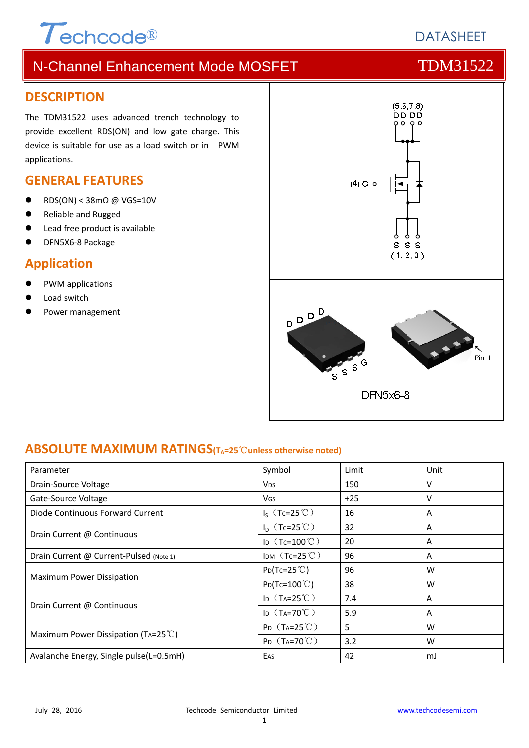# $\tau$ echcode®

# N-Channel Enhancement Mode MOSFET TOM31522

### **DESCRIPTION**

The TDM31522 uses advanced trench technology to provide excellent RDS(ON) and low gate charge. This device is suitable for use as a load switch or in PWM applications.

### **GENERAL FEATURES**

- RDS(ON) < 38mΩ @ VGS=10V
- Reliable and Rugged
- Lead free product is available
- DFN5X6‐8 Package

# **Application**

- PWM applications
- Load switch
- Power management



### **ABSOLUTE MAXIMUM RATINGS(TA=25**℃**unless otherwise noted)**

| Parameter                                     | Symbol                         | Limit | Unit |
|-----------------------------------------------|--------------------------------|-------|------|
| Drain-Source Voltage                          | <b>V<sub>DS</sub></b>          | 150   | v    |
| Gate-Source Voltage                           | <b>VGS</b>                     | $+25$ | v    |
| Diode Continuous Forward Current              | $I_S$ (Tc=25°C)                | 16    | A    |
| Drain Current @ Continuous                    | $I_D$ (Tc=25°C)                | 32    | A    |
|                                               | ID $(Tc=100^{\circ}C)$         | 20    | A    |
| Drain Current @ Current-Pulsed (Note 1)       | IDM $(Tc=25^{\circ}C)$         | 96    | A    |
| <b>Maximum Power Dissipation</b>              | $P_{D}(Tc=25^{\circ}C)$        | 96    | W    |
|                                               | $P_{D}(Tc=100^{\circ}C)$       | 38    | W    |
| Drain Current @ Continuous                    | ID $(T_A=25^{\circ}\text{C})$  | 7.4   | A    |
|                                               | ID $(T_A=70^{\circ}C)$         | 5.9   | A    |
| Maximum Power Dissipation (TA=25 $\degree$ C) | $P_{D}$ (T <sub>A</sub> =25°C) | 5     | W    |
|                                               | $P_D$ (T <sub>A</sub> =70°C)   | 3.2   | W    |
| Avalanche Energy, Single pulse(L=0.5mH)       | EAS                            | 42    | mJ   |

**DATASHEET**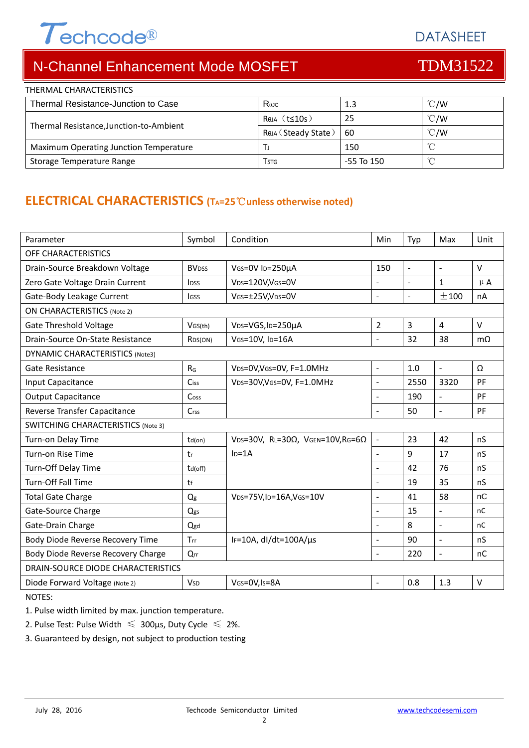# $\tau$ echcode®

DATASHEET

# N-Channel Enhancement Mode MOSFET THE TOM31522

| THERMAL CHARACTERISTICS<br>Thermal Resistance-Junction to Case | R <sub>eJC</sub>        | 1.3            | $\degree$ C/W |
|----------------------------------------------------------------|-------------------------|----------------|---------------|
|                                                                |                         |                |               |
| Thermal Resistance, Junction-to-Ambient                        | $Rtheta$ (t $\leq$ 10s) | -25            | $\degree$ C/W |
|                                                                | Rеја (Steady State)     | 60             | $\degree$ C/W |
| Maximum Operating Junction Temperature                         |                         | 150            |               |
| Storage Temperature Range                                      | Tstg                    | $-55$ To $150$ | $\sim$        |

# **ELECTRICAL CHARACTERISTICS (TA=25**℃**unless otherwise noted)**

| Parameter                                 | Symbol                  | Condition                                         | Min                      | Typ            | Max                      | Unit      |  |  |
|-------------------------------------------|-------------------------|---------------------------------------------------|--------------------------|----------------|--------------------------|-----------|--|--|
| OFF CHARACTERISTICS                       |                         |                                                   |                          |                |                          |           |  |  |
| Drain-Source Breakdown Voltage            | <b>BV<sub>DSS</sub></b> | VGS=0V ID=250µA                                   | 150                      | $\sim$         | $\sim$                   | $\vee$    |  |  |
| Zero Gate Voltage Drain Current           | <b>l</b> <sub>DSS</sub> | VDS=120V,VGS=0V                                   |                          | $\blacksquare$ | $\mathbf{1}$             | $\mu$ A   |  |  |
| Gate-Body Leakage Current                 | <b>IGSS</b>             | VGs=±25V,VDs=0V                                   | $\overline{\phantom{a}}$ | $\blacksquare$ | ±100                     | nA        |  |  |
| <b>ON CHARACTERISTICS (Note 2)</b>        |                         |                                                   |                          |                |                          |           |  |  |
| <b>Gate Threshold Voltage</b>             | VGS(th)                 | VDS=VGS, ID=250µA                                 | $\overline{2}$           | $\overline{3}$ | $\overline{4}$           | $\vee$    |  |  |
| Drain-Source On-State Resistance          | R <sub>DS</sub> (ON)    | VGS=10V, ID=16A                                   | $\overline{a}$           | 32             | 38                       | $m\Omega$ |  |  |
| DYNAMIC CHARACTERISTICS (Note3)           |                         |                                                   |                          |                |                          |           |  |  |
| Gate Resistance                           | $R_G$                   | VDS=0V, VGS=0V, F=1.0MHz                          | $\blacksquare$           | 1.0            | $\omega$                 | Ω         |  |  |
| Input Capacitance                         | Ciss                    | VDS=30V, VGS=0V, F=1.0MHz                         | $\blacksquare$           | 2550           | 3320                     | PF        |  |  |
| <b>Output Capacitance</b>                 | Coss                    |                                                   | $\blacksquare$           | 190            | $\overline{\phantom{a}}$ | <b>PF</b> |  |  |
| Reverse Transfer Capacitance              | Crss                    |                                                   | $\blacksquare$           | 50             | $\bar{\phantom{a}}$      | <b>PF</b> |  |  |
| <b>SWITCHING CHARACTERISTICS (Note 3)</b> |                         |                                                   |                          |                |                          |           |  |  |
| Turn-on Delay Time                        | $td($ on $)$            | VDS=30V, RL=30 $\Omega$ , VGEN=10V, RG=6 $\Omega$ | $\blacksquare$           | 23             | 42                       | nS        |  |  |
| Turn-on Rise Time                         | tr                      | $ID=1A$                                           | $\blacksquare$           | 9              | 17                       | nS        |  |  |
| Turn-Off Delay Time                       | td(off)                 |                                                   | $\blacksquare$           | 42             | 76                       | nS        |  |  |
| <b>Turn-Off Fall Time</b>                 | $t$ f                   |                                                   | $\overline{a}$           | 19             | 35                       | nS        |  |  |
| <b>Total Gate Charge</b>                  | Q <sub>g</sub>          | VDS=75V,ID=16A,VGS=10V                            | $\blacksquare$           | 41             | 58                       | nC        |  |  |
| Gate-Source Charge                        | Qgs                     |                                                   | $\blacksquare$           | 15             | $\overline{\phantom{a}}$ | nC        |  |  |
| Gate-Drain Charge                         | Qgd                     |                                                   | $\blacksquare$           | 8              | $\sim$                   | nC        |  |  |
| Body Diode Reverse Recovery Time          | Trr                     | IF=10A, dl/dt=100A/µs                             | $\blacksquare$           | 90             | $\sim$                   | nS        |  |  |
| Body Diode Reverse Recovery Charge        | Qrr                     |                                                   |                          | 220            | $\sim$                   | nC        |  |  |
| DRAIN-SOURCE DIODE CHARACTERISTICS        |                         |                                                   |                          |                |                          |           |  |  |
| Diode Forward Voltage (Note 2)            | <b>V<sub>SD</sub></b>   | VGS=0V,Is=8A                                      | $\blacksquare$           | 0.8            | 1.3                      | $\vee$    |  |  |

NOTES:

1. Pulse width limited by max. junction temperature.

2. Pulse Test: Pulse Width  $\leq 300$ μs, Duty Cycle  $\leq 2\%$ .

3. Guaranteed by design, not subject to production testing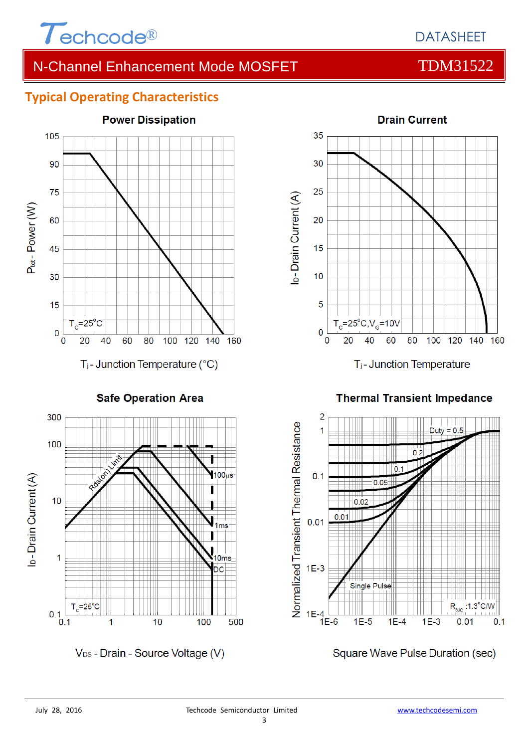

### **Typical Operating Characteristics**



**Safe Operation Area** 



V<sub>DS</sub> - Drain - Source Voltage (V)



**Thermal Transient Impedance** 



Square Wave Pulse Duration (sec)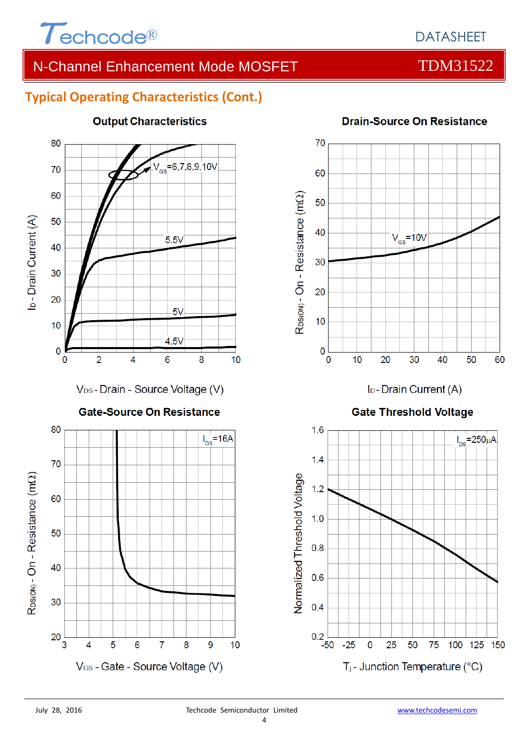

# **Typical Operating Characteristics (Cont.)**



### **Output Characteristics**

#### **Drain-Source On Resistance**



I<sub>D</sub>-Drain Current (A)

#### **Gate Threshold Voltage**

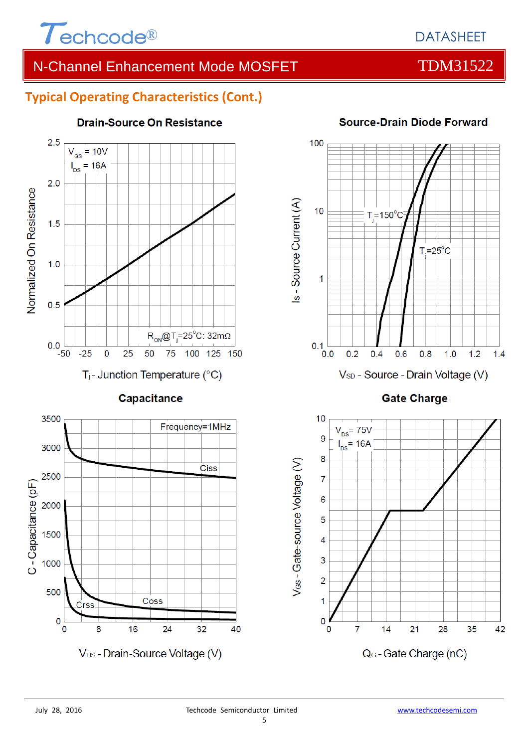

#### **Typical Operating Characteristics (Cont.)**



Coss

V<sub>DS</sub> - Drain-Source Voltage (V)

24

 $32$ 

16

#### **Drain-Source On Resistance**



#### **Source-Drain Diode Forward**

**Gate Charge** 



V<sub>os</sub> - Gate-source Voltage (V)

2000

1500

1000

500

 $\mathbf 0$ 

 $\Omega$ 

Crss

8

40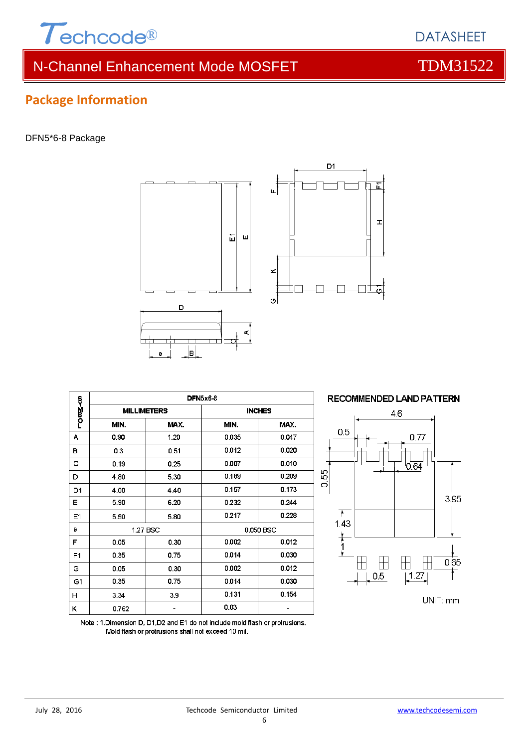

# **Package Information**

DFN5\*6-8 Package



D



 $\mathbf{r}$ 

ò

Note : 1.Dimension D, D1,D2 and E1 do not include mold flash or protrusions. Mold flash or protrusions shall not exceed 10 mil.



面

**DATASHEET**